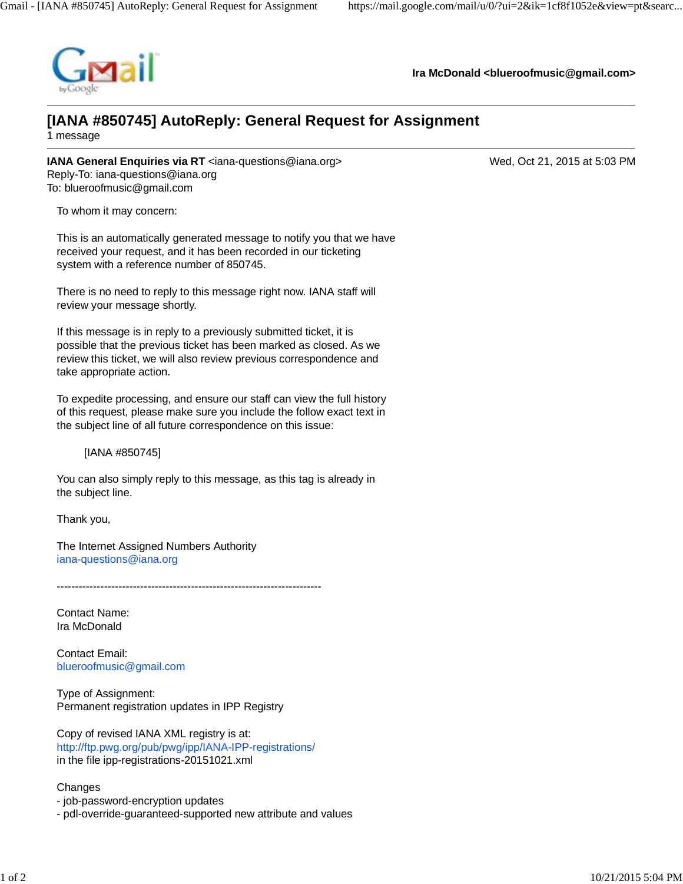

**Ira McDonald [<blueroofmusic@gmail.com](mailto:blueroofmusic@gmail.com)>**

## **[IANA #850745] AutoReply: General Request for Assignment**

1 message

**IANA General Enquiries via RT** [<iana-questions@iana.org>](mailto:iana-questions@iana.org) Wed, Oct 21, 2015 at 5:03 PM Reply-To: [iana-questions@iana.org](mailto:iana-questions@iana.org) To: [blueroofmusic@gmail.com](mailto:blueroofmusic@gmail.com)

To whom it may concern:

This is an automatically generated message to notify you that we have received your request, and it has been recorded in our ticketing system with a reference number of 850745.

There is no need to reply to this message right now. IANA staff will review your message shortly.

If this message is in reply to a previously submitted ticket, it is possible that the previous ticket has been marked as closed. As we review this ticket, we will also review previous correspondence and take appropriate action.

To expedite processing, and ensure our staff can view the full history of this request, please make sure you include the follow exact text in the subject line of all future correspondence on this issue:

[IANA #850745]

You can also simply reply to this message, as this tag is already in the subject line.

Thank you,

The Internet Assigned Numbers Authority [iana-questions@iana.org](mailto:iana-questions@iana.org)

-------------------------------------------------------------------------

Contact Name: Ira McDonald

Contact Email: [blueroofmusic@gmail.com](mailto:blueroofmusic@gmail.com)

Type of Assignment: Permanent registration updates in IPP Registry

Copy of revised IANA XML registry is at: <http://ftp.pwg.org/pub/pwg/ipp/IANA-IPP-registrations/> in the file ipp-registrations-20151021.xml

## **Changes**

- job-password-encryption updates

- pdl-override-guaranteed-supported new attribute and values